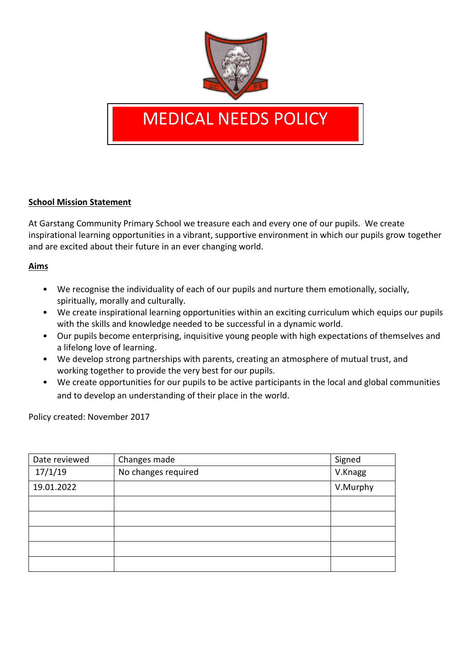

# MEDICAL NEEDS POLICY

#### **School Mission Statement**

At Garstang Community Primary School we treasure each and every one of our pupils. We create inspirational learning opportunities in a vibrant, supportive environment in which our pupils grow together and are excited about their future in an ever changing world.

#### **Aims**

- We recognise the individuality of each of our pupils and nurture them emotionally, socially, spiritually, morally and culturally.
- We create inspirational learning opportunities within an exciting curriculum which equips our pupils with the skills and knowledge needed to be successful in a dynamic world.
- Our pupils become enterprising, inquisitive young people with high expectations of themselves and a lifelong love of learning.
- We develop strong partnerships with parents, creating an atmosphere of mutual trust, and working together to provide the very best for our pupils.
- We create opportunities for our pupils to be active participants in the local and global communities and to develop an understanding of their place in the world.

Policy created: November 2017

| Date reviewed | Changes made        | Signed   |
|---------------|---------------------|----------|
| 17/1/19       | No changes required | V.Knagg  |
| 19.01.2022    |                     | V.Murphy |
|               |                     |          |
|               |                     |          |
|               |                     |          |
|               |                     |          |
|               |                     |          |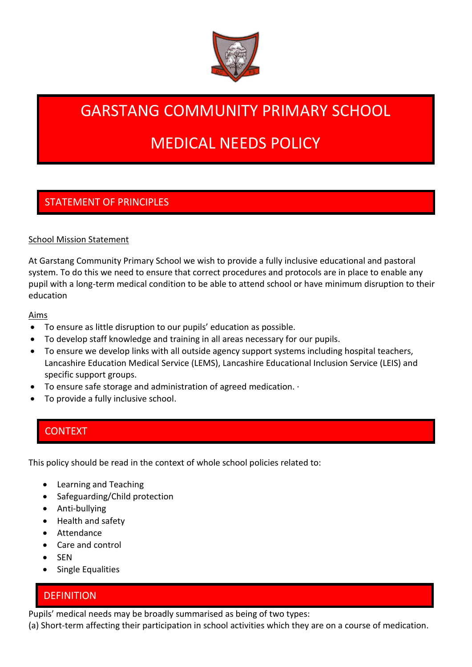

# GARSTANG COMMUNITY PRIMARY SCHOOL

# MEDICAL NEEDS POLICY

# STATEMENT OF PRINCIPLES

#### School Mission Statement

At Garstang Community Primary School we wish to provide a fully inclusive educational and pastoral system. To do this we need to ensure that correct procedures and protocols are in place to enable any pupil with a long-term medical condition to be able to attend school or have minimum disruption to their education

#### Aims

- To ensure as little disruption to our pupils' education as possible.
- To develop staff knowledge and training in all areas necessary for our pupils.
- To ensure we develop links with all outside agency support systems including hospital teachers, Lancashire Education Medical Service (LEMS), Lancashire Educational Inclusion Service (LEIS) and specific support groups.
- To ensure safe storage and administration of agreed medication.  $\cdot$
- To provide a fully inclusive school.

## **CONTEXT**

This policy should be read in the context of whole school policies related to:

- Learning and Teaching
- Safeguarding/Child protection
- Anti-bullying
- Health and safety
- Attendance
- Care and control
- SEN
- Single Equalities

## **DEFINITION**

Pupils' medical needs may be broadly summarised as being of two types:

(a) Short-term affecting their participation in school activities which they are on a course of medication.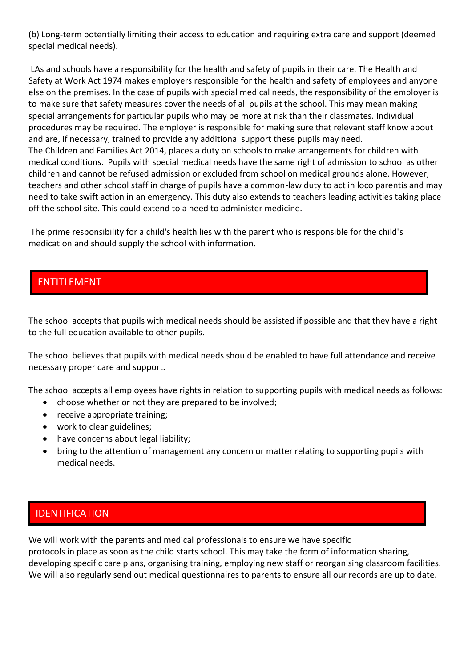(b) Long-term potentially limiting their access to education and requiring extra care and support (deemed special medical needs).

LAs and schools have a responsibility for the health and safety of pupils in their care. The Health and Safety at Work Act 1974 makes employers responsible for the health and safety of employees and anyone else on the premises. In the case of pupils with special medical needs, the responsibility of the employer is to make sure that safety measures cover the needs of all pupils at the school. This may mean making special arrangements for particular pupils who may be more at risk than their classmates. Individual procedures may be required. The employer is responsible for making sure that relevant staff know about and are, if necessary, trained to provide any additional support these pupils may need. The Children and Families Act 2014, places a duty on schools to make arrangements for children with medical conditions. Pupils with special medical needs have the same right of admission to school as other children and cannot be refused admission or excluded from school on medical grounds alone. However, teachers and other school staff in charge of pupils have a common-law duty to act in loco parentis and may need to take swift action in an emergency. This duty also extends to teachers leading activities taking place off the school site. This could extend to a need to administer medicine.

The prime responsibility for a child's health lies with the parent who is responsible for the child's medication and should supply the school with information.

## ENTITLEMENT

The school accepts that pupils with medical needs should be assisted if possible and that they have a right to the full education available to other pupils.

The school believes that pupils with medical needs should be enabled to have full attendance and receive necessary proper care and support.

The school accepts all employees have rights in relation to supporting pupils with medical needs as follows:

- choose whether or not they are prepared to be involved;
- receive appropriate training;
- work to clear guidelines;
- have concerns about legal liability;
- bring to the attention of management any concern or matter relating to supporting pupils with medical needs.

## IDENTIFICATION

We will work with the parents and medical professionals to ensure we have specific

protocols in place as soon as the child starts school. This may take the form of information sharing, developing specific care plans, organising training, employing new staff or reorganising classroom facilities. We will also regularly send out medical questionnaires to parents to ensure all our records are up to date.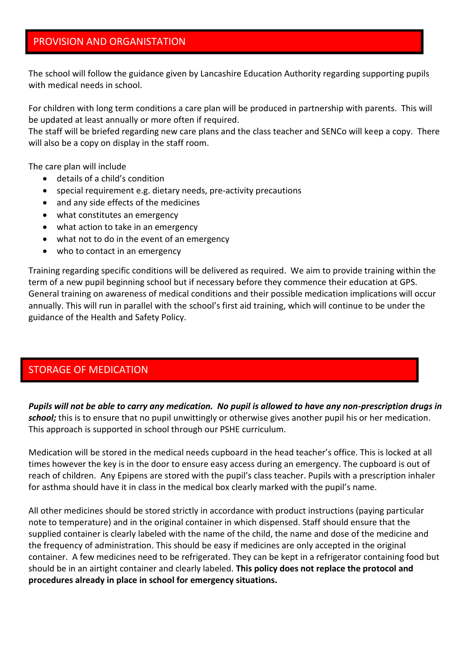## PROVISION AND ORGANISTATION

The school will follow the guidance given by Lancashire Education Authority regarding supporting pupils with medical needs in school.

For children with long term conditions a care plan will be produced in partnership with parents. This will be updated at least annually or more often if required.

The staff will be briefed regarding new care plans and the class teacher and SENCo will keep a copy. There will also be a copy on display in the staff room.

The care plan will include

- details of a child's condition
- special requirement e.g. dietary needs, pre-activity precautions
- and any side effects of the medicines
- what constitutes an emergency
- what action to take in an emergency
- what not to do in the event of an emergency
- who to contact in an emergency

Training regarding specific conditions will be delivered as required. We aim to provide training within the term of a new pupil beginning school but if necessary before they commence their education at GPS. General training on awareness of medical conditions and their possible medication implications will occur annually. This will run in parallel with the school's first aid training, which will continue to be under the guidance of the Health and Safety Policy.

### STORAGE OF MEDICATION

*Pupils will not be able to carry any medication. No pupil is allowed to have any non-prescription drugs in school;* this is to ensure that no pupil unwittingly or otherwise gives another pupil his or her medication. This approach is supported in school through our PSHE curriculum.

Medication will be stored in the medical needs cupboard in the head teacher's office. This is locked at all times however the key is in the door to ensure easy access during an emergency. The cupboard is out of reach of children. Any Epipens are stored with the pupil's class teacher. Pupils with a prescription inhaler for asthma should have it in class in the medical box clearly marked with the pupil's name.

All other medicines should be stored strictly in accordance with product instructions (paying particular note to temperature) and in the original container in which dispensed. Staff should ensure that the supplied container is clearly labeled with the name of the child, the name and dose of the medicine and the frequency of administration. This should be easy if medicines are only accepted in the original container. A few medicines need to be refrigerated. They can be kept in a refrigerator containing food but should be in an airtight container and clearly labeled. **This policy does not replace the protocol and procedures already in place in school for emergency situations.**